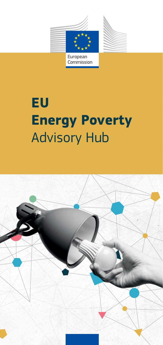

# **EU Energy Poverty** Advisory Hub

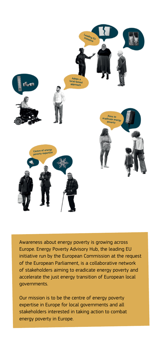

Awareness about energy poverty is growing across Europe. Energy Poverty Advisory Hub, the leading EU initiative run by the European Commission at the request of the European Parliament, is a collaborative network of stakeholders aiming to eradicate energy poverty and accelerate the just energy transition of European local governments.

Our mission is to be the centre of energy poverty expertise in Europe for local governments and all stakeholders interested in taking action to combat energy poverty in Europe.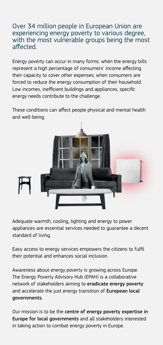#### Over 34 million people in European Union are experiencing energy poverty to various degree, with the most vulnerable groups being the most affected.

Energy poverty can occur in many forms: when the energy bills represent a high percentage of consumers' income affecting their capacity to cover other expenses; when consumers are forced to reduce the energy consumption of their household. Low incomes, inefficient buildings and appliances, specific energy needs contribute to the challenge.

These conditions can affect people physical and mental health and well-being.



Adequate warmth, cooling, lighting and energy to power appliances are essential services needed to guarantee a decent standard of living.

Easy access to energy services empowers the citizens to fulfil their potential and enhances social inclusion.

Awareness about energy poverty is growing across Europe. The Energy Poverty Advisory Hub (EPAH) is a collaborative network of stakeholders aiming to eradicate energy poverty and accelerate the just energy transition of European local governments.

Our mission is to be the centre of energy poverty expertise in Europe for local governments and all stakeholders interested in taking action to combat energy poverty in Europe.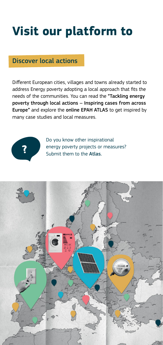## **Visit our platform to**

#### Discover local actions

Different European cities, villages and towns already started to address Energy poverty adopting a local approach that fits the needs of the communities. You can read the "Tackling energy poverty through local actions - Inspiring cases from across Europe" and explore the online EPAH ATLAS to get inspired by many case studies and local measures.



Do you know other inspirational energy poverty projects or measures?<br>Submit them to the **Atlas**.

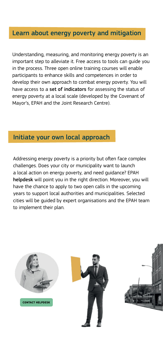#### Learn about energy poverty and mitigation

Understanding, measuring, and monitoring energy poverty is an important step to alleviate it. Free access to tools can guide you in the process. Three open online training courses will enable participants to enhance skills and competences in order to develop their own approach to combat energy poverty. You will have access to a set of indicators for assessing the status of energy poverty at a local scale (developed by the Covenant of Mayor's, EPAH and the Joint Research Centre).

#### Initiate your own local approach

Addressing energy poverty is a priority but often face complex challenges. Does your city or municipality want to launch a local action on energy poverty, and need guidance? EPAH helpdesk will point you in the right direction. Moreover, you will have the chance to apply to two open calls in the upcoming years to support local authorities and municipalities. Selected cities will be guided by expert organisations and the EPAH team to implement their plan.